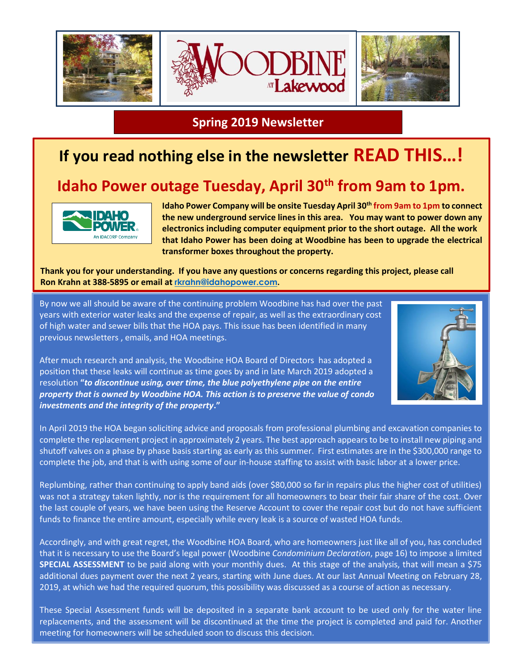

**Spring 2019 Newsletter**

## **If you read nothing else in the newsletter READ THIS…!**

## **Idaho Power outage Tuesday, April 30th from 9am to 1pm.**



**Idaho Power Company will be onsite Tuesday April 30th from 9am to 1pm to connect the new underground service lines in this area. You may want to power down any electronics including computer equipment prior to the short outage. All the work that Idaho Power has been doing at Woodbine has been to upgrade the electrical transformer boxes throughout the property.**

**Thank you for your understanding. If you have any questions or concerns regarding this project, please call Ron Krahn at 388-5895 or email at [rkrahn@idahopower.com](mailto:rkrahn@idahopower.com).**

By now we all should be aware of the continuing problem Woodbine has had over the past years with exterior water leaks and the expense of repair, as well as the extraordinary cost of high water and sewer bills that the HOA pays. This issue has been identified in many previous newsletters , emails, and HOA meetings.

After much research and analysis, the Woodbine HOA Board of Directors has adopted a position that these leaks will continue as time goes by and in late March 2019 adopted a resolution **"***to discontinue using, over time, the blue polyethylene pipe on the entire property that is owned by Woodbine HOA. This action is to preserve the value of condo investments and the integrity of the property***."** 



In April 2019 the HOA began soliciting advice and proposals from professional plumbing and excavation companies to complete the replacement project in approximately 2 years. The best approach appears to be to install new piping and shutoff valves on a phase by phase basis starting as early as this summer. First estimates are in the \$300,000 range to complete the job, and that is with using some of our in-house staffing to assist with basic labor at a lower price.

Replumbing, rather than continuing to apply band aids (over \$80,000 so far in repairs plus the higher cost of utilities) was not a strategy taken lightly, nor is the requirement for all homeowners to bear their fair share of the cost. Over the last couple of years, we have been using the Reserve Account to cover the repair cost but do not have sufficient funds to finance the entire amount, especially while every leak is a source of wasted HOA funds.

Accordingly, and with great regret, the Woodbine HOA Board, who are homeowners just like all of you, has concluded that it is necessary to use the Board's legal power (Woodbine *Condominium Declaration*, page 16) to impose a limited **SPECIAL ASSESSMENT** to be paid along with your monthly dues. At this stage of the analysis, that will mean a \$75 additional dues payment over the next 2 years, starting with June dues. At our last Annual Meeting on February 28, 2019, at which we had the required quorum, this possibility was discussed as a course of action as necessary.

These Special Assessment funds will be deposited in a separate bank account to be used only for the water line replacements, and the assessment will be discontinued at the time the project is completed and paid for. Another meeting for homeowners will be scheduled soon to discuss this decision.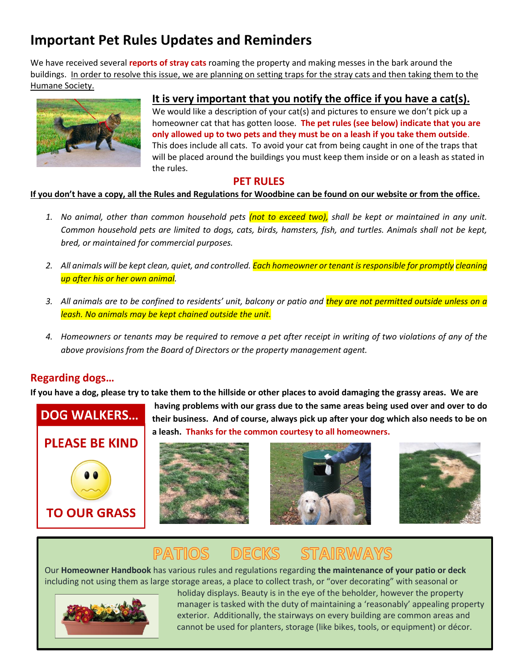## **Important Pet Rules Updates and Reminders**

We have received several **reports of stray cats** roaming the property and making messes in the bark around the buildings. In order to resolve this issue, we are planning on setting traps for the stray cats and then taking them to the Humane Society.



#### **It is very important that you notify the office if you have a cat(s).**

We would like a description of your cat(s) and pictures to ensure we don't pick up a homeowner cat that has gotten loose. **The pet rules (see below) indicate that you are only allowed up to two pets and they must be on a leash if you take them outside**. This does include all cats. To avoid your cat from being caught in one of the traps that will be placed around the buildings you must keep them inside or on a leash as stated in the rules.

#### **PET RULES**

#### **If you don't have a copy, all the Rules and Regulations for Woodbine can be found on our website or from the office.**

- *1. No animal, other than common household pets (not to exceed two), shall be kept or maintained in any unit. Common household pets are limited to dogs, cats, birds, hamsters, fish, and turtles. Animals shall not be kept, bred, or maintained for commercial purposes.*
- *2. All animals will be kept clean, quiet, and controlled. Each homeowner or tenant is responsible for promptly cleaning up after his or her own animal.*
- *3. All animals are to be confined to residents' unit, balcony or patio and they are not permitted outside unless on a leash. No animals may be kept chained outside the unit.*
- *4. Homeowners or tenants may be required to remove a pet after receipt in writing of two violations of any of the above provisions from the Board of Directors or the property management agent.*

#### **Regarding dogs…**

**If you have a dog, please try to take them to the hillside or other places to avoid damaging the grassy areas. We are**









# PATIOS DECKS STAIRWAYS

Our **Homeowner Handbook** has various rules and regulations regarding **the maintenance of your patio or deck**  including not using them as large storage areas, a place to collect trash, or "over decorating" with seasonal or



 holiday displays. Beauty is in the eye of the beholder, however the property manager is tasked with the duty of maintaining a 'reasonably' appealing property exterior. Additionally, the stairways on every building are common areas and cannot be used for planters, storage (like bikes, tools, or equipment) or décor.